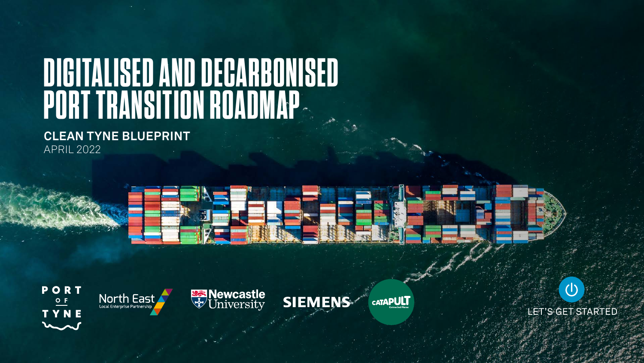# **DIGITALISED AND DECARBONISED PORT TRANSITION ROADMAP**

**CLEAN TYNE BLUEPRINT** APRIL 2022













LET'S GET STARTED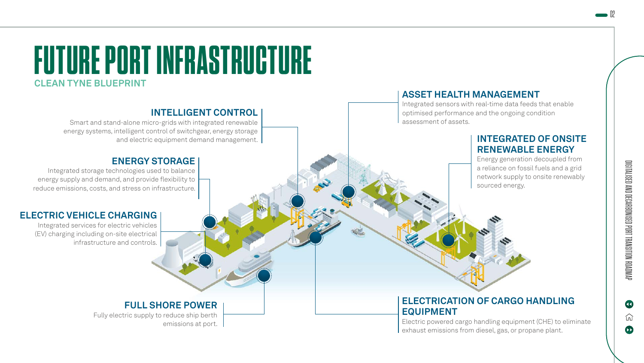$\bullet$ 



#### **INTELLIGENT CONTROL**

Smart and stand-alone micro-grids with integrated renewable energy systems, intelligent control of switchgear, energy storage and electric equipment demand management.

#### **ENERGY STORAGE**

Integrated storage technologies used to balance energy supply and demand, and provide flexibility to reduce emissions, costs, and stress on infrastructure.

#### **ELECTRIC VEHICLE CHARGING**

Integrated services for electric vehicles (EV) charging including on-site electrical infrastructure and controls.

# **FULL SHORE POWER**

Fully electric supply to reduce ship berth emissions at port.

### **ASSET HEALTH MANAGEMENT**

Integrated sensors with real-time data feeds that enable optimised performance and the ongoing condition assessment of assets.

# **INTEGRATED OF ONSITE RENEWABLE ENERGY**

Energy generation decoupled from a reliance on fossil fuels and a grid network supply to onsite renewably sourced energy.

### **ELECTRICATION OF CARGO HANDLING EQUIPMENT**

Electric powered cargo handling equipment (CHE) to eliminate exhaust emissions from diesel, gas, or propane plant.

 $\bullet$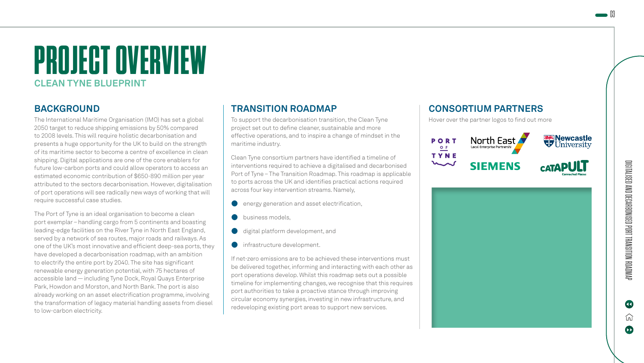# **PROJECT OVERVIEW CLEAN TYNE BLUEPRINT**

# **BACKGROUND**

The International Maritime Organisation (IMO) has set a global 2050 target to reduce shipping emissions by 50% compared to 2008 levels. This will require holistic decarbonisation and presents a huge opportunity for the UK to build on the strength of its maritime sector to become a centre of excellence in clean shipping. Digital applications are one of the core enablers for future low-carbon ports and could allow operators to access an estimated economic contribution of \$650-890 million per year attributed to the sectors decarbonisation. However, digitalisation of port operations will see radically new ways of working that will require successful case studies.

The Port of Tyne is an ideal organisation to become a clean port exemplar – handling cargo from 5 continents and boasting leading-edge facilities on the River Tyne in North East England, served by a network of sea routes, major roads and railways. As one of the UK's most innovative and efficient deep-sea ports, they have developed a decarbonisation roadmap, with an ambition to electrify the entire port by 2040. The site has significant renewable energy generation potential, with 75 hectares of accessible land — including Tyne Dock, Royal Quays Enterprise Park, Howdon and Morston, and North Bank. The port is also already working on an asset electrification programme, involving the transformation of legacy material handling assets from diesel to low-carbon electricity.

# **TRANSITION ROADMAP**

To support the decarbonisation transition, the Clean Tyne project set out to define cleaner, sustainable and more effective operations, and to inspire a change of mindset in the maritime industry.

Clean Tyne consortium partners have identified a timeline of interventions required to achieve a digitalised and decarbonised Port of Tyne – The Transition Roadmap. This roadmap is applicable to ports across the UK and identifies practical actions required across four key intervention streams. Namely,

- energy generation and asset electrification,
- business models.
- digital platform development, and
- infrastructure development.

If net-zero emissions are to be achieved these interventions must be delivered together, informing and interacting with each other as port operations develop. Whilst this roadmap sets out a possible timeline for implementing changes, we recognise that this requires port authorities to take a proactive stance through improving circular economy synergies, investing in new infrastructure, and redeveloping existing port areas to support new services.

# **CONSORTIUM PARTNERS**

Hover over the partner logos to find out more



#### **ABOUT SIEMMENSINGIN ENACHSSCRYAPULT**

New Rew the Placities Oa Eyish per the UK's induced in tSlaven Manstkies TP (kainakius 13 ja typikuldą i spisikuly) til Konci fundangaatiikame.<br>araphadefigaties filland teid i ists (nice james piesieti yrit liidu (gild artalytik kaam y. **ploadicle@dispierstebrant&fationhatedasediutgedpaterodlic** bortlüdgyttuftiive, sitest lagud fa filoas Roin gill amptigi idler, tho Elekstellen lyden katumpokrittian med et in ta pricetty om by att fra bradtiki chea s **weders adeingt de la minder to the model of the minder of the minder of the minder of the minder of the minder** businesses and public sector leaders to cutting-a Bedgebuchsfeating hat oe spark and the boat digital governess, ole world  $\omega$ e we enpower of the tackling their transformation the conduction of  $\epsilon$ SME satic blahad gestkes called pew solutions that form the every with, spread prosperity, and eliminate carbon.

 $\bullet$ 

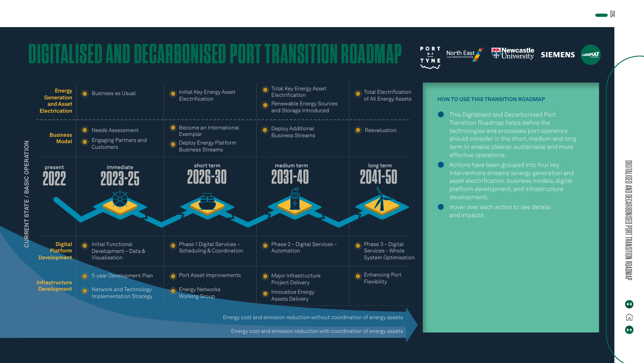

AAMOAND RECAABONISED PORT TRANSITION ROADAP DIGITALISED AND DECARBONISED PORT TRANSITION ROADMAP

 $\qquad \qquad \blacksquare$ 

Œ 仞

 $\blacktriangle$